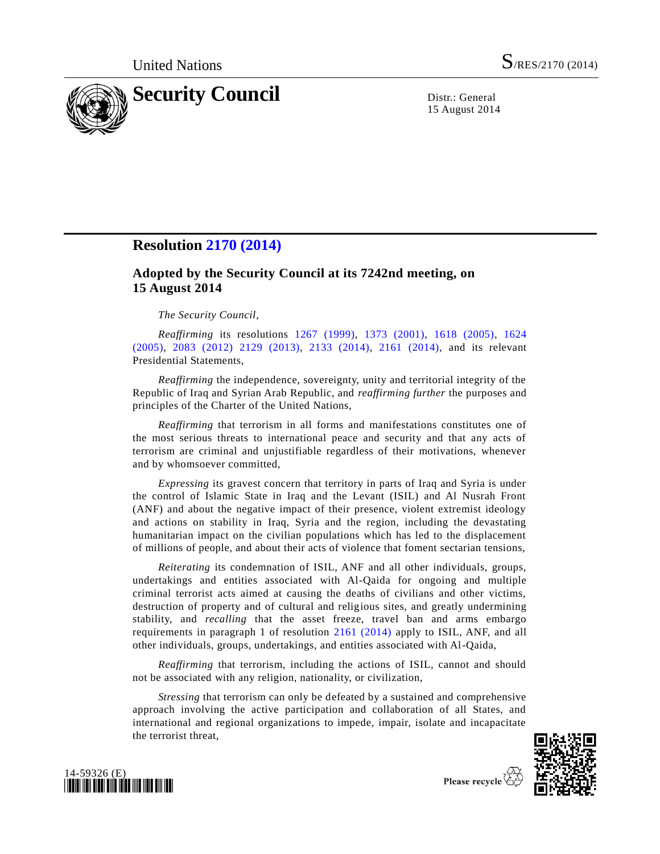

15 August 2014

# **Resolution [2170 \(2014\)](http://undocs.org/S/RES/2170(2014))**

## **Adopted by the Security Council at its 7242nd meeting, on 15 August 2014**

## *The Security Council*,

*Reaffirming* its resolutions [1267 \(1999\),](http://undocs.org/S/RES/1267(1999)) [1373 \(2001\),](http://undocs.org/S/RES/1373(2001)) [1618 \(2005\),](http://undocs.org/S/RES/1618(2005)) [1624](http://undocs.org/S/RES/1624(2005))  [\(2005\),](http://undocs.org/S/RES/1624(2005)) [2083 \(2012\)](http://undocs.org/S/RES/2083(2012)) [2129 \(2013\),](http://undocs.org/S/RES/2129(2013)) [2133 \(2014\),](http://undocs.org/S/RES/2133(2014)) [2161 \(2014\),](http://undocs.org/S/RES/2161(2014)) and its relevant Presidential Statements,

*Reaffirming* the independence, sovereignty, unity and territorial integrity of the Republic of Iraq and Syrian Arab Republic, and *reaffirming further* the purposes and principles of the Charter of the United Nations,

*Reaffirming* that terrorism in all forms and manifestations constitutes one of the most serious threats to international peace and security and that any acts of terrorism are criminal and unjustifiable regardless of their motivations, whenever and by whomsoever committed,

*Expressing* its gravest concern that territory in parts of Iraq and Syria is under the control of Islamic State in Iraq and the Levant (ISIL) and Al Nusrah Front (ANF) and about the negative impact of their presence, violent extremist ideology and actions on stability in Iraq, Syria and the region, including the devastating humanitarian impact on the civilian populations which has led to the displacement of millions of people, and about their acts of violence that foment sectarian tensions,

*Reiterating* its condemnation of ISIL, ANF and all other individuals, groups, undertakings and entities associated with Al-Qaida for ongoing and multiple criminal terrorist acts aimed at causing the deaths of civilians and other victims, destruction of property and of cultural and religious sites, and greatly undermining stability, and *recalling* that the asset freeze, travel ban and arms embargo requirements in paragraph 1 of resolution [2161 \(2014\)](http://undocs.org/S/RES/2161(2014)) apply to ISIL, ANF, and all other individuals, groups, undertakings, and entities associated with Al-Qaida,

*Reaffirming* that terrorism, including the actions of ISIL, cannot and should not be associated with any religion, nationality, or civilization,

*Stressing* that terrorism can only be defeated by a sustained and comprehensive approach involving the active participation and collaboration of all States, and international and regional organizations to impede, impair, isolate and incapacitate the terrorist threat,



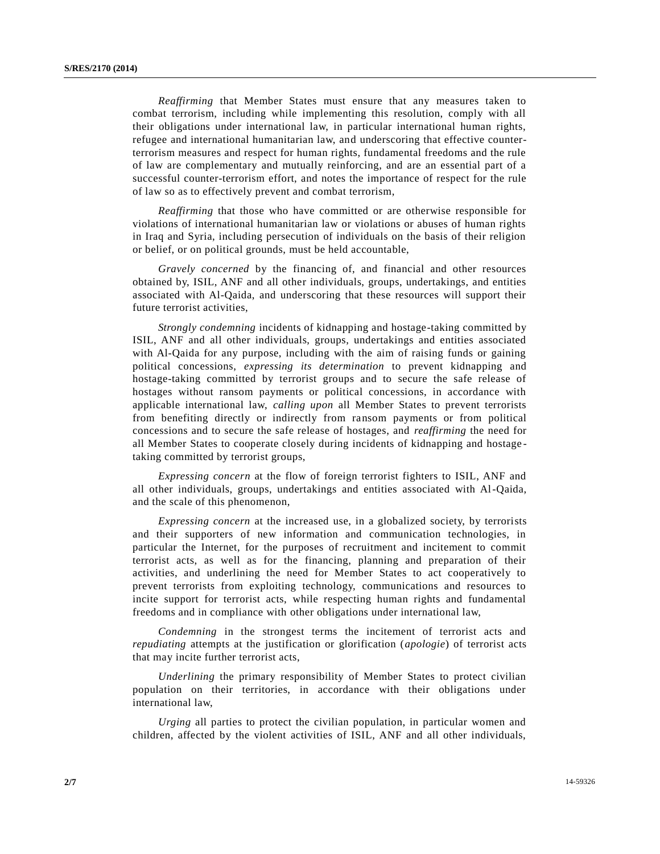*Reaffirming* that Member States must ensure that any measures taken to combat terrorism, including while implementing this resolution, comply with all their obligations under international law, in particular international human rights, refugee and international humanitarian law, and underscoring that effective counterterrorism measures and respect for human rights, fundamental freedoms and the rule of law are complementary and mutually reinforcing, and are an essential part of a successful counter-terrorism effort, and notes the importance of respect for the rule of law so as to effectively prevent and combat terrorism,

*Reaffirming* that those who have committed or are otherwise responsible for violations of international humanitarian law or violations or abuses of human rights in Iraq and Syria, including persecution of individuals on the basis of their religion or belief, or on political grounds, must be held accountable,

*Gravely concerned* by the financing of, and financial and other resources obtained by, ISIL, ANF and all other individuals, groups, undertakings, and entities associated with Al-Qaida, and underscoring that these resources will support their future terrorist activities,

*Strongly condemning* incidents of kidnapping and hostage-taking committed by ISIL, ANF and all other individuals, groups, undertakings and entities associated with Al-Qaida for any purpose, including with the aim of raising funds or gaining political concessions, *expressing its determination* to prevent kidnapping and hostage-taking committed by terrorist groups and to secure the safe release of hostages without ransom payments or political concessions, in accordance with applicable international law, *calling upon* all Member States to prevent terrorists from benefiting directly or indirectly from ransom payments or from political concessions and to secure the safe release of hostages, and *reaffirming* the need for all Member States to cooperate closely during incidents of kidnapping and hostage taking committed by terrorist groups,

*Expressing concern* at the flow of foreign terrorist fighters to ISIL, ANF and all other individuals, groups, undertakings and entities associated with Al-Qaida, and the scale of this phenomenon,

*Expressing concern* at the increased use, in a globalized society, by terrorists and their supporters of new information and communication technologies, in particular the Internet, for the purposes of recruitment and incitement to commit terrorist acts, as well as for the financing, planning and preparation of their activities, and underlining the need for Member States to act cooperatively to prevent terrorists from exploiting technology, communications and resources to incite support for terrorist acts, while respecting human rights and fundamental freedoms and in compliance with other obligations under international law,

*Condemning* in the strongest terms the incitement of terrorist acts and *repudiating* attempts at the justification or glorification (*apologie*) of terrorist acts that may incite further terrorist acts,

*Underlining* the primary responsibility of Member States to protect civilian population on their territories, in accordance with their obligations under international law,

*Urging* all parties to protect the civilian population, in particular women and children, affected by the violent activities of ISIL, ANF and all other individuals,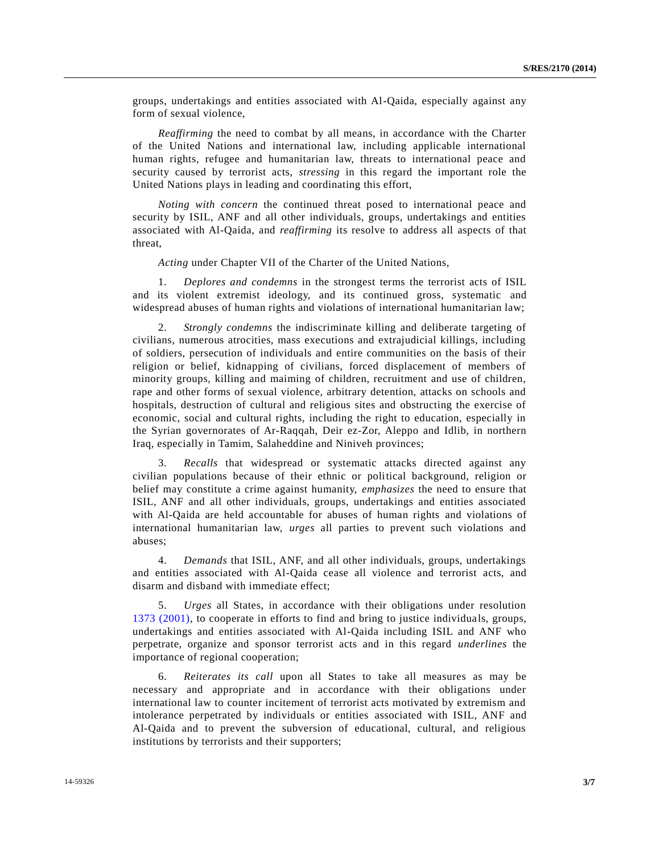groups, undertakings and entities associated with Al-Qaida, especially against any form of sexual violence,

*Reaffirming* the need to combat by all means, in accordance with the Charter of the United Nations and international law, including applicable international human rights, refugee and humanitarian law, threats to international peace and security caused by terrorist acts, *stressing* in this regard the important role the United Nations plays in leading and coordinating this effort,

*Noting with concern* the continued threat posed to international peace and security by ISIL, ANF and all other individuals, groups, undertakings and entities associated with Al-Qaida, and *reaffirming* its resolve to address all aspects of that threat,

*Acting* under Chapter VII of the Charter of the United Nations,

1. *Deplores and condemns* in the strongest terms the terrorist acts of ISIL and its violent extremist ideology, and its continued gross, systematic and widespread abuses of human rights and violations of international humanitarian law;

2. *Strongly condemns* the indiscriminate killing and deliberate targeting of civilians, numerous atrocities, mass executions and extrajudicial killings, including of soldiers, persecution of individuals and entire communities on the basis of their religion or belief, kidnapping of civilians, forced displacement of members of minority groups, killing and maiming of children, recruitment and use of children, rape and other forms of sexual violence, arbitrary detention, attacks on schools and hospitals, destruction of cultural and religious sites and obstructing the exercise of economic, social and cultural rights, including the right to education, especially in the Syrian governorates of Ar-Raqqah, Deir ez-Zor, Aleppo and Idlib, in northern Iraq, especially in Tamim, Salaheddine and Niniveh provinces;

3. *Recalls* that widespread or systematic attacks directed against any civilian populations because of their ethnic or political background, religion or belief may constitute a crime against humanity, *emphasizes* the need to ensure that ISIL, ANF and all other individuals, groups, undertakings and entities associated with Al-Qaida are held accountable for abuses of human rights and violations of international humanitarian law, *urges* all parties to prevent such violations and abuses;

4. *Demands* that ISIL, ANF, and all other individuals, groups, undertakings and entities associated with Al-Qaida cease all violence and terrorist acts, and disarm and disband with immediate effect;

5. *Urges* all States, in accordance with their obligations under resolution [1373 \(2001\),](http://undocs.org/S/RES/1373(2001)) to cooperate in efforts to find and bring to justice individua ls, groups, undertakings and entities associated with Al-Qaida including ISIL and ANF who perpetrate, organize and sponsor terrorist acts and in this regard *underlines* the importance of regional cooperation;

6. *Reiterates its call* upon all States to take all measures as may be necessary and appropriate and in accordance with their obligations under international law to counter incitement of terrorist acts motivated by extremism and intolerance perpetrated by individuals or entities associated with ISIL, ANF and Al-Qaida and to prevent the subversion of educational, cultural, and religious institutions by terrorists and their supporters;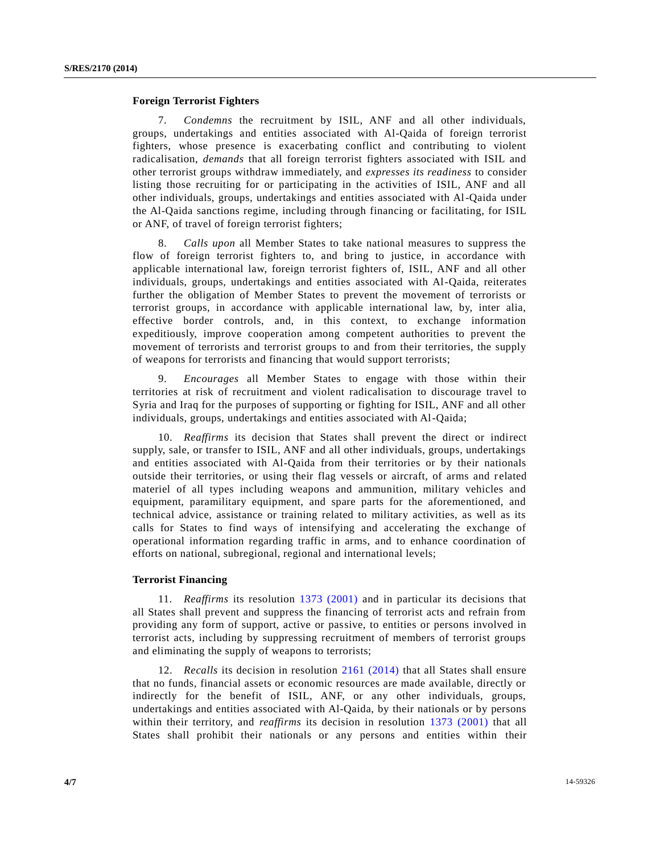## **Foreign Terrorist Fighters**

7. *Condemns* the recruitment by ISIL, ANF and all other individuals, groups, undertakings and entities associated with Al-Qaida of foreign terrorist fighters, whose presence is exacerbating conflict and contributing to violent radicalisation, *demands* that all foreign terrorist fighters associated with ISIL and other terrorist groups withdraw immediately, and *expresses its readiness* to consider listing those recruiting for or participating in the activities of ISIL, ANF and all other individuals, groups, undertakings and entities associated with Al-Qaida under the Al-Qaida sanctions regime, including through financing or facilitating, for ISIL or ANF, of travel of foreign terrorist fighters;

8. *Calls upon* all Member States to take national measures to suppress the flow of foreign terrorist fighters to, and bring to justice, in accordance with applicable international law, foreign terrorist fighters of, ISIL, ANF and all other individuals, groups, undertakings and entities associated with Al-Qaida, reiterates further the obligation of Member States to prevent the movement of terrorists or terrorist groups, in accordance with applicable international law, by, inter alia, effective border controls, and, in this context, to exchange information expeditiously, improve cooperation among competent authorities to prevent the movement of terrorists and terrorist groups to and from their territories, the supply of weapons for terrorists and financing that would support terrorists;

9. *Encourages* all Member States to engage with those within their territories at risk of recruitment and violent radicalisation to discourage travel to Syria and Iraq for the purposes of supporting or fighting for ISIL, ANF and all other individuals, groups, undertakings and entities associated with Al-Qaida;

10. *Reaffirms* its decision that States shall prevent the direct or indirect supply, sale, or transfer to ISIL, ANF and all other individuals, groups, undertakings and entities associated with Al-Qaida from their territories or by their nationals outside their territories, or using their flag vessels or aircraft, of arms and r elated materiel of all types including weapons and ammunition, military vehicles and equipment, paramilitary equipment, and spare parts for the aforementioned, and technical advice, assistance or training related to military activities, as well as its calls for States to find ways of intensifying and accelerating the exchange of operational information regarding traffic in arms, and to enhance coordination of efforts on national, subregional, regional and international levels;

#### **Terrorist Financing**

11. *Reaffirms* its resolution [1373 \(2001\)](http://undocs.org/S/RES/1373(2001)) and in particular its decisions that all States shall prevent and suppress the financing of terrorist acts and refrain from providing any form of support, active or passive, to entities or persons involved in terrorist acts, including by suppressing recruitment of members of terrorist groups and eliminating the supply of weapons to terrorists;

12. *Recalls* its decision in resolution [2161 \(2014\)](http://undocs.org/S/RES/2161(2014)) that all States shall ensure that no funds, financial assets or economic resources are made available, directly or indirectly for the benefit of ISIL, ANF, or any other individuals, groups, undertakings and entities associated with Al-Qaida, by their nationals or by persons within their territory, and *reaffirms* its decision in resolution [1373 \(2001\)](http://undocs.org/S/RES/1373(2001)) that all States shall prohibit their nationals or any persons and entities within their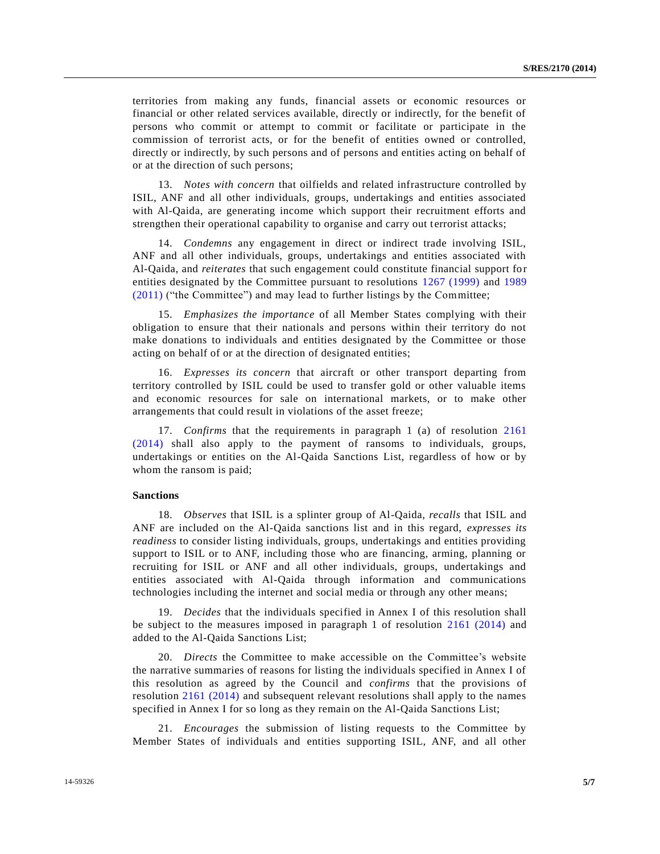territories from making any funds, financial assets or economic resources or financial or other related services available, directly or indirectly, for the benefit of persons who commit or attempt to commit or facilitate or participate in the commission of terrorist acts, or for the benefit of entities owned or controlled, directly or indirectly, by such persons and of persons and entities acting on behalf of or at the direction of such persons;

13. *Notes with concern* that oilfields and related infrastructure controlled by ISIL, ANF and all other individuals, groups, undertakings and entities associated with Al-Qaida, are generating income which support their recruitment efforts and strengthen their operational capability to organise and carry out terrorist attacks;

14. *Condemns* any engagement in direct or indirect trade involving ISIL, ANF and all other individuals, groups, undertakings and entities associated with Al-Qaida, and *reiterates* that such engagement could constitute financial support for entities designated by the Committee pursuant to resolutions [1267 \(1999\)](http://undocs.org/S/RES/1267(1999)) and [1989](http://undocs.org/S/RES/1989(2011))  [\(2011\)](http://undocs.org/S/RES/1989(2011)) ("the Committee") and may lead to further listings by the Committee;

15. *Emphasizes the importance* of all Member States complying with their obligation to ensure that their nationals and persons within their territory do not make donations to individuals and entities designated by the Committee or those acting on behalf of or at the direction of designated entities;

16. *Expresses its concern* that aircraft or other transport departing from territory controlled by ISIL could be used to transfer gold or other valuable items and economic resources for sale on international markets, or to make other arrangements that could result in violations of the asset freeze;

17. *Confirms* that the requirements in paragraph 1 (a) of resolution [2161](http://undocs.org/S/RES/2161(2014))  [\(2014\)](http://undocs.org/S/RES/2161(2014)) shall also apply to the payment of ransoms to individuals, groups, undertakings or entities on the Al-Qaida Sanctions List, regardless of how or by whom the ransom is paid;

## **Sanctions**

18. *Observes* that ISIL is a splinter group of Al-Qaida, *recalls* that ISIL and ANF are included on the Al-Qaida sanctions list and in this regard, *expresses its readiness* to consider listing individuals, groups, undertakings and entities providing support to ISIL or to ANF, including those who are financing, arming, planning or recruiting for ISIL or ANF and all other individuals, groups, undertakings and entities associated with Al-Qaida through information and communications technologies including the internet and social media or through any other means;

19. *Decides* that the individuals specified in Annex I of this resolution shall be subject to the measures imposed in paragraph 1 of resolution [2161 \(2014\)](http://undocs.org/S/RES/2161(2014)) and added to the Al-Qaida Sanctions List;

20. *Directs* the Committee to make accessible on the Committee's website the narrative summaries of reasons for listing the individuals specified in Annex I of this resolution as agreed by the Council and *confirms* that the provisions of resolution [2161 \(2014\)](http://undocs.org/S/RES/2161(2014)) and subsequent relevant resolutions shall apply to the names specified in Annex I for so long as they remain on the Al-Qaida Sanctions List;

21. *Encourages* the submission of listing requests to the Committee by Member States of individuals and entities supporting ISIL, ANF, and all other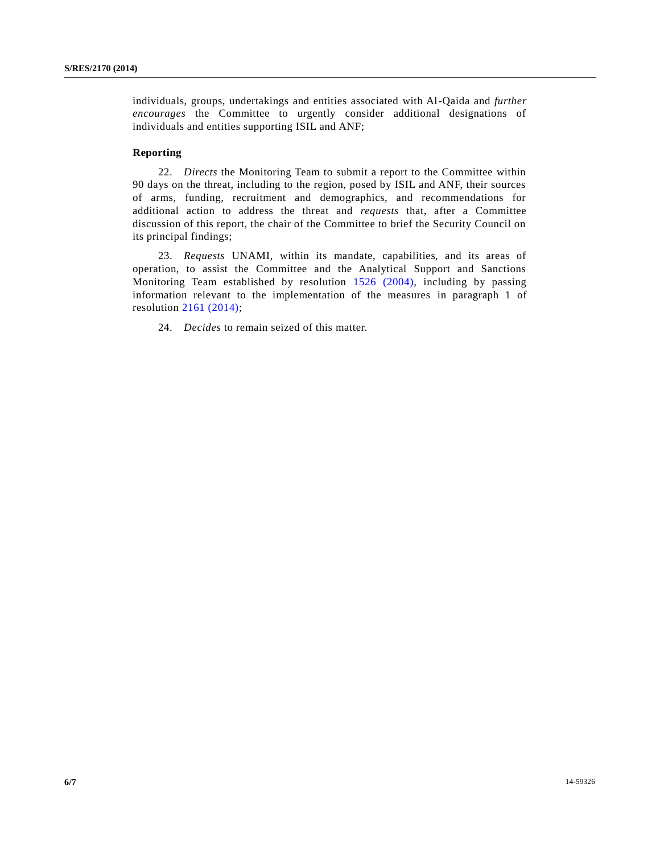individuals, groups, undertakings and entities associated with Al-Qaida and *further encourages* the Committee to urgently consider additional designations of individuals and entities supporting ISIL and ANF;

#### **Reporting**

22. *Directs* the Monitoring Team to submit a report to the Committee within 90 days on the threat, including to the region, posed by ISIL and ANF, their sources of arms, funding, recruitment and demographics, and recommendations for additional action to address the threat and *requests* that, after a Committee discussion of this report, the chair of the Committee to brief the Security Council on its principal findings;

23. *Requests* UNAMI, within its mandate, capabilities, and its areas of operation, to assist the Committee and the Analytical Support and Sanctions Monitoring Team established by resolution [1526 \(2004\),](http://undocs.org/S/RES/1526(2004)) including by passing information relevant to the implementation of the measures in paragraph 1 of resolution [2161 \(2014\);](http://undocs.org/S/RES/2161(2014))

24. *Decides* to remain seized of this matter.